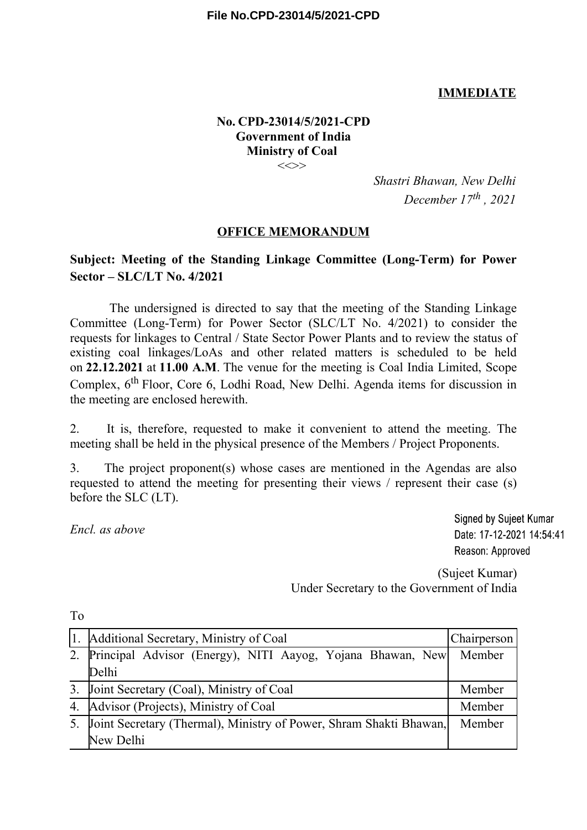## **IMMEDIATE**

#### **No. CPD-23014/5/2021-CPD Government of India Ministry of Coal**  $\iff$

*Shastri Bhawan, New Delhi December 17th , 2021*

#### **OFFICE MEMORANDUM**

## **Subject: Meeting of the Standing Linkage Committee (Long-Term) for Power Sector – SLC/LT No. 4/2021**

The undersigned is directed to say that the meeting of the Standing Linkage Committee (Long-Term) for Power Sector (SLC/LT No. 4/2021) to consider the requests for linkages to Central / State Sector Power Plants and to review the status of existing coal linkages/LoAs and other related matters is scheduled to be held on **22.12.2021** at **11.00 A.M**. The venue for the meeting is Coal India Limited, Scope Complex, 6<sup>th</sup> Floor, Core 6, Lodhi Road, New Delhi. Agenda items for discussion in the meeting are enclosed herewith.

2. It is, therefore, requested to make it convenient to attend the meeting. The meeting shall be held in the physical presence of the Members / Project Proponents.

3. The project proponent(s) whose cases are mentioned in the Agendas are also requested to attend the meeting for presenting their views / represent their case (s) before the SLC (LT).

*Encl. as above*

**Signed by Suieet Kumar** Date: 17-12-2021 14:54:41 Reason: Approved

(Sujeet Kumar) Under Secretary to the Government of India

|    | 1. Additional Secretary, Ministry of Coal                             | Chairperson |
|----|-----------------------------------------------------------------------|-------------|
|    | 2. Principal Advisor (Energy), NITI Aayog, Yojana Bhawan, New  Member |             |
|    | Delhi                                                                 |             |
|    | 3. Joint Secretary (Coal), Ministry of Coal                           | Member      |
|    | 4. Advisor (Projects), Ministry of Coal                               | Member      |
| 5. | Joint Secretary (Thermal), Ministry of Power, Shram Shakti Bhawan,    | Member      |
|    | New Delhi                                                             |             |

To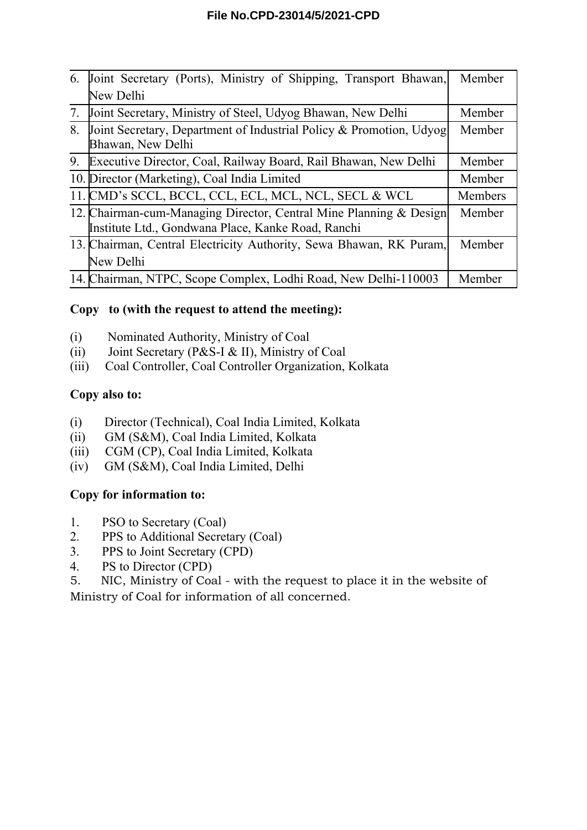## **File No.CPD-23014/5/2021-CPD**

| 6. | Joint Secretary (Ports), Ministry of Shipping, Transport Bhawan,                                                         | Member         |
|----|--------------------------------------------------------------------------------------------------------------------------|----------------|
|    | New Delhi                                                                                                                |                |
| 7. | Joint Secretary, Ministry of Steel, Udyog Bhawan, New Delhi                                                              | Member         |
| 8. | Joint Secretary, Department of Industrial Policy & Promotion, Udyog<br>Bhawan, New Delhi                                 | Member         |
| 9. | Executive Director, Coal, Railway Board, Rail Bhawan, New Delhi                                                          | Member         |
|    | 10. Director (Marketing), Coal India Limited                                                                             | Member         |
|    | 11. CMD's SCCL, BCCL, CCL, ECL, MCL, NCL, SECL & WCL                                                                     | <b>Members</b> |
|    | 12. Chairman-cum-Managing Director, Central Mine Planning & Design<br>Institute Ltd., Gondwana Place, Kanke Road, Ranchi | Member         |
|    | 13. Chairman, Central Electricity Authority, Sewa Bhawan, RK Puram,                                                      | Member         |
|    | New Delhi                                                                                                                |                |
|    | 14. Chairman, NTPC, Scope Complex, Lodhi Road, New Delhi-110003                                                          | Member         |

## **Copy to (with the request to attend the meeting):**

- (i) Nominated Authority, Ministry of Coal
- (ii) Joint Secretary (P&S-I & II), Ministry of Coal
- (iii) Coal Controller, Coal Controller Organization, Kolkata

#### **Copy also to:**

- (i) Director (Technical), Coal India Limited, Kolkata
- (ii) GM (S&M), Coal India Limited, Kolkata
- (iii) CGM (CP), Coal India Limited, Kolkata
- (iv) GM (S&M), Coal India Limited, Delhi

# **Copy for information to:**

- 1. PSO to Secretary (Coal)
- 2. PPS to Additional Secretary (Coal)
- 3. PPS to Joint Secretary (CPD)
- 4. PS to Director (CPD)

5. NIC, Ministry of Coal - with the request to place it in the website of Ministry of Coal for information of all concerned.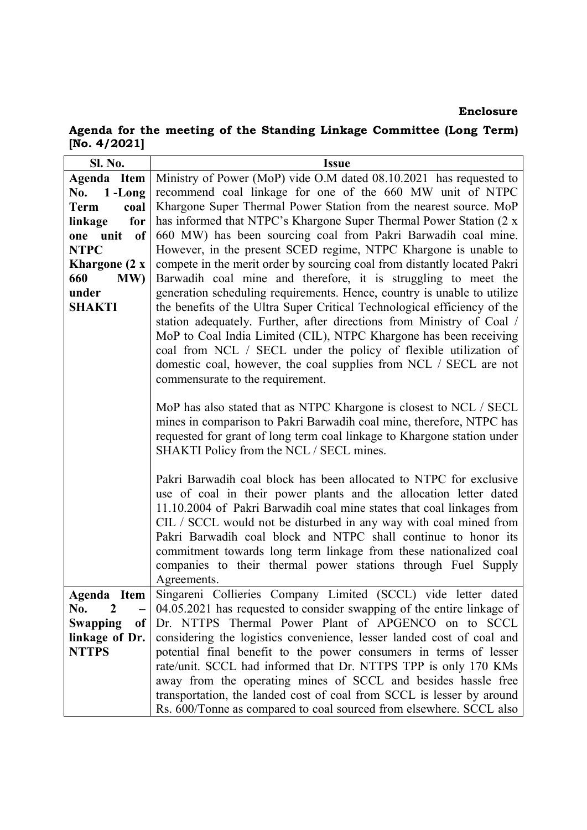#### Enclosure

Agenda for the meeting of the Standing Linkage Committee (Long Term) [No. 4/2021]

| <b>Sl. No.</b><br><b>Issue</b>                                                                                                                                               |  |
|------------------------------------------------------------------------------------------------------------------------------------------------------------------------------|--|
| Ministry of Power (MoP) vide O.M dated 08.10.2021 has requested to<br>Agenda Item                                                                                            |  |
| recommend coal linkage for one of the 660 MW unit of NTPC<br>No. $1$ -Long                                                                                                   |  |
| Khargone Super Thermal Power Station from the nearest source. MoP<br><b>Term</b><br>coal                                                                                     |  |
| has informed that NTPC's Khargone Super Thermal Power Station (2 x<br>for<br>linkage                                                                                         |  |
| 660 MW) has been sourcing coal from Pakri Barwadih coal mine.<br>of<br>one unit                                                                                              |  |
| However, in the present SCED regime, NTPC Khargone is unable to<br><b>NTPC</b>                                                                                               |  |
| compete in the merit order by sourcing coal from distantly located Pakri<br>Khargone (2 x                                                                                    |  |
| Barwadih coal mine and therefore, it is struggling to meet the<br>660<br>MW)                                                                                                 |  |
| generation scheduling requirements. Hence, country is unable to utilize<br>under                                                                                             |  |
| the benefits of the Ultra Super Critical Technological efficiency of the<br><b>SHAKTI</b>                                                                                    |  |
| station adequately. Further, after directions from Ministry of Coal /                                                                                                        |  |
| MoP to Coal India Limited (CIL), NTPC Khargone has been receiving                                                                                                            |  |
| coal from NCL / SECL under the policy of flexible utilization of                                                                                                             |  |
| domestic coal, however, the coal supplies from NCL / SECL are not                                                                                                            |  |
| commensurate to the requirement.                                                                                                                                             |  |
|                                                                                                                                                                              |  |
| MoP has also stated that as NTPC Khargone is closest to NCL / SECL                                                                                                           |  |
| mines in comparison to Pakri Barwadih coal mine, therefore, NTPC has                                                                                                         |  |
| requested for grant of long term coal linkage to Khargone station under                                                                                                      |  |
| SHAKTI Policy from the NCL / SECL mines.                                                                                                                                     |  |
|                                                                                                                                                                              |  |
| Pakri Barwadih coal block has been allocated to NTPC for exclusive                                                                                                           |  |
| use of coal in their power plants and the allocation letter dated                                                                                                            |  |
| 11.10.2004 of Pakri Barwadih coal mine states that coal linkages from                                                                                                        |  |
| CIL / SCCL would not be disturbed in any way with coal mined from                                                                                                            |  |
| Pakri Barwadih coal block and NTPC shall continue to honor its                                                                                                               |  |
| commitment towards long term linkage from these nationalized coal                                                                                                            |  |
| companies to their thermal power stations through Fuel Supply                                                                                                                |  |
| Agreements.                                                                                                                                                                  |  |
| Singareni Collieries Company Limited (SCCL) vide letter dated<br>Agenda Item<br>2                                                                                            |  |
| 04.05.2021 has requested to consider swapping of the entire linkage of<br>No.<br>Dr. NTTPS Thermal Power Plant of APGENCO on to SCCL                                         |  |
| <b>Swapping</b><br><sub>of</sub>                                                                                                                                             |  |
| considering the logistics convenience, lesser landed cost of coal and<br>linkage of Dr.<br>potential final benefit to the power consumers in terms of lesser<br><b>NTTPS</b> |  |
|                                                                                                                                                                              |  |
| rate/unit. SCCL had informed that Dr. NTTPS TPP is only 170 KMs<br>away from the operating mines of SCCL and besides hassle free                                             |  |
| transportation, the landed cost of coal from SCCL is lesser by around                                                                                                        |  |
| Rs. 600/Tonne as compared to coal sourced from elsewhere. SCCL also                                                                                                          |  |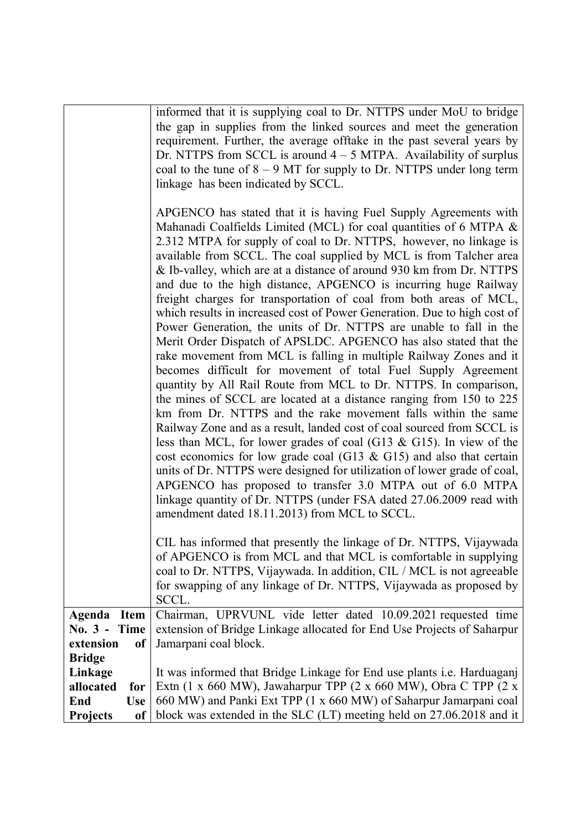|                                  | informed that it is supplying coal to Dr. NTTPS under MoU to bridge<br>the gap in supplies from the linked sources and meet the generation<br>requirement. Further, the average offtake in the past several years by<br>Dr. NTTPS from SCCL is around $4 - 5$ MTPA. Availability of surplus<br>coal to the tune of $8 - 9$ MT for supply to Dr. NTTPS under long term<br>linkage has been indicated by SCCL.<br>APGENCO has stated that it is having Fuel Supply Agreements with<br>Mahanadi Coalfields Limited (MCL) for coal quantities of 6 MTPA &<br>2.312 MTPA for supply of coal to Dr. NTTPS, however, no linkage is<br>available from SCCL. The coal supplied by MCL is from Talcher area<br>& Ib-valley, which are at a distance of around 930 km from Dr. NTTPS<br>and due to the high distance, APGENCO is incurring huge Railway<br>freight charges for transportation of coal from both areas of MCL,<br>which results in increased cost of Power Generation. Due to high cost of<br>Power Generation, the units of Dr. NTTPS are unable to fall in the<br>Merit Order Dispatch of APSLDC. APGENCO has also stated that the<br>rake movement from MCL is falling in multiple Railway Zones and it<br>becomes difficult for movement of total Fuel Supply Agreement<br>quantity by All Rail Route from MCL to Dr. NTTPS. In comparison,<br>the mines of SCCL are located at a distance ranging from 150 to 225<br>km from Dr. NTTPS and the rake movement falls within the same<br>Railway Zone and as a result, landed cost of coal sourced from SCCL is<br>less than MCL, for lower grades of coal (G13 & G15). In view of the<br>cost economics for low grade coal (G13 & G15) and also that certain<br>units of Dr. NTTPS were designed for utilization of lower grade of coal,<br>APGENCO has proposed to transfer 3.0 MTPA out of 6.0 MTPA<br>linkage quantity of Dr. NTTPS (under FSA dated 27.06.2009 read with<br>amendment dated 18.11.2013) from MCL to SCCL.<br>CIL has informed that presently the linkage of Dr. NTTPS, Vijaywada<br>of APGENCO is from MCL and that MCL is comfortable in supplying<br>coal to Dr. NTTPS, Vijaywada. In addition, CIL / MCL is not agreeable<br>for swapping of any linkage of Dr. NTTPS, Vijaywada as proposed by |
|----------------------------------|-------------------------------------------------------------------------------------------------------------------------------------------------------------------------------------------------------------------------------------------------------------------------------------------------------------------------------------------------------------------------------------------------------------------------------------------------------------------------------------------------------------------------------------------------------------------------------------------------------------------------------------------------------------------------------------------------------------------------------------------------------------------------------------------------------------------------------------------------------------------------------------------------------------------------------------------------------------------------------------------------------------------------------------------------------------------------------------------------------------------------------------------------------------------------------------------------------------------------------------------------------------------------------------------------------------------------------------------------------------------------------------------------------------------------------------------------------------------------------------------------------------------------------------------------------------------------------------------------------------------------------------------------------------------------------------------------------------------------------------------------------------------------------------------------------------------------------------------------------------------------------------------------------------------------------------------------------------------------------------------------------------------------------------------------------------------------------------------------------------------------------------------------------------------------------------------------------------------------------------------------------------------------------|
| Agenda<br><b>Item</b>            | SCCL.<br>Chairman, UPRVUNL vide letter dated 10.09.2021 requested time                                                                                                                                                                                                                                                                                                                                                                                                                                                                                                                                                                                                                                                                                                                                                                                                                                                                                                                                                                                                                                                                                                                                                                                                                                                                                                                                                                                                                                                                                                                                                                                                                                                                                                                                                                                                                                                                                                                                                                                                                                                                                                                                                                                                        |
| $No. 3 -$<br>Time                | extension of Bridge Linkage allocated for End Use Projects of Saharpur                                                                                                                                                                                                                                                                                                                                                                                                                                                                                                                                                                                                                                                                                                                                                                                                                                                                                                                                                                                                                                                                                                                                                                                                                                                                                                                                                                                                                                                                                                                                                                                                                                                                                                                                                                                                                                                                                                                                                                                                                                                                                                                                                                                                        |
| extension<br><sub>of</sub>       | Jamarpani coal block.                                                                                                                                                                                                                                                                                                                                                                                                                                                                                                                                                                                                                                                                                                                                                                                                                                                                                                                                                                                                                                                                                                                                                                                                                                                                                                                                                                                                                                                                                                                                                                                                                                                                                                                                                                                                                                                                                                                                                                                                                                                                                                                                                                                                                                                         |
| <b>Bridge</b>                    |                                                                                                                                                                                                                                                                                                                                                                                                                                                                                                                                                                                                                                                                                                                                                                                                                                                                                                                                                                                                                                                                                                                                                                                                                                                                                                                                                                                                                                                                                                                                                                                                                                                                                                                                                                                                                                                                                                                                                                                                                                                                                                                                                                                                                                                                               |
| Linkage<br>allocated<br>for      | It was informed that Bridge Linkage for End use plants i.e. Harduaganj<br>Extn (1 x 660 MW), Jawaharpur TPP (2 x 660 MW), Obra C TPP (2 x                                                                                                                                                                                                                                                                                                                                                                                                                                                                                                                                                                                                                                                                                                                                                                                                                                                                                                                                                                                                                                                                                                                                                                                                                                                                                                                                                                                                                                                                                                                                                                                                                                                                                                                                                                                                                                                                                                                                                                                                                                                                                                                                     |
| End<br><b>Use</b>                | 660 MW) and Panki Ext TPP (1 x 660 MW) of Saharpur Jamarpani coal                                                                                                                                                                                                                                                                                                                                                                                                                                                                                                                                                                                                                                                                                                                                                                                                                                                                                                                                                                                                                                                                                                                                                                                                                                                                                                                                                                                                                                                                                                                                                                                                                                                                                                                                                                                                                                                                                                                                                                                                                                                                                                                                                                                                             |
| <b>Projects</b><br><sub>of</sub> | block was extended in the SLC (LT) meeting held on 27.06.2018 and it                                                                                                                                                                                                                                                                                                                                                                                                                                                                                                                                                                                                                                                                                                                                                                                                                                                                                                                                                                                                                                                                                                                                                                                                                                                                                                                                                                                                                                                                                                                                                                                                                                                                                                                                                                                                                                                                                                                                                                                                                                                                                                                                                                                                          |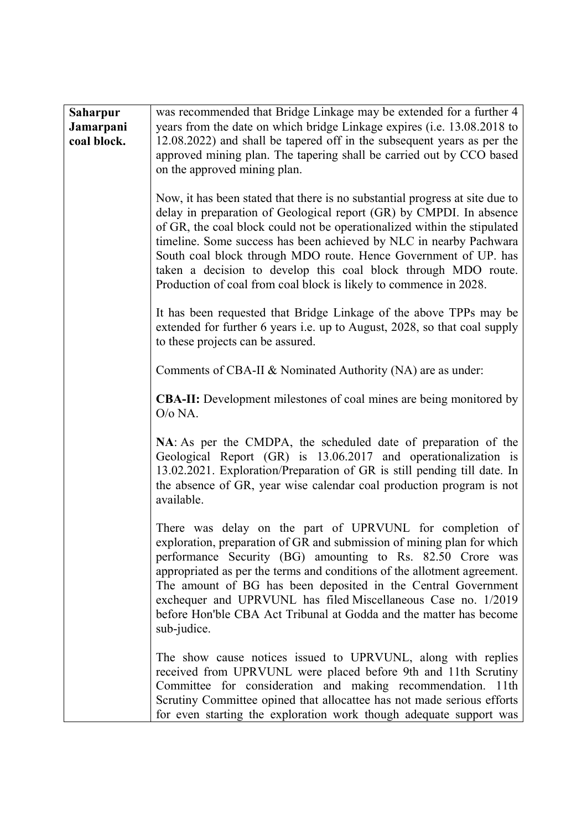| <b>Saharpur</b><br>Jamarpani<br>coal block. | was recommended that Bridge Linkage may be extended for a further 4<br>years from the date on which bridge Linkage expires (i.e. 13.08.2018 to<br>12.08.2022) and shall be tapered off in the subsequent years as per the<br>approved mining plan. The tapering shall be carried out by CCO based<br>on the approved mining plan.                                                                                                                                                                               |
|---------------------------------------------|-----------------------------------------------------------------------------------------------------------------------------------------------------------------------------------------------------------------------------------------------------------------------------------------------------------------------------------------------------------------------------------------------------------------------------------------------------------------------------------------------------------------|
|                                             | Now, it has been stated that there is no substantial progress at site due to<br>delay in preparation of Geological report (GR) by CMPDI. In absence<br>of GR, the coal block could not be operationalized within the stipulated<br>timeline. Some success has been achieved by NLC in nearby Pachwara<br>South coal block through MDO route. Hence Government of UP. has<br>taken a decision to develop this coal block through MDO route.<br>Production of coal from coal block is likely to commence in 2028. |
|                                             | It has been requested that Bridge Linkage of the above TPPs may be<br>extended for further 6 years i.e. up to August, 2028, so that coal supply<br>to these projects can be assured.                                                                                                                                                                                                                                                                                                                            |
|                                             | Comments of CBA-II & Nominated Authority (NA) are as under:                                                                                                                                                                                                                                                                                                                                                                                                                                                     |
|                                             | <b>CBA-II:</b> Development milestones of coal mines are being monitored by<br>O/o NA.                                                                                                                                                                                                                                                                                                                                                                                                                           |
|                                             | NA: As per the CMDPA, the scheduled date of preparation of the<br>Geological Report (GR) is 13.06.2017 and operationalization is<br>13.02.2021. Exploration/Preparation of GR is still pending till date. In<br>the absence of GR, year wise calendar coal production program is not<br>available.                                                                                                                                                                                                              |
|                                             | There was delay on the part of UPRVUNL for completion of<br>exploration, preparation of GR and submission of mining plan for which<br>performance Security (BG) amounting to Rs. 82.50 Crore was<br>appropriated as per the terms and conditions of the allotment agreement.<br>The amount of BG has been deposited in the Central Government<br>exchequer and UPRVUNL has filed Miscellaneous Case no. 1/2019<br>before Hon'ble CBA Act Tribunal at Godda and the matter has become<br>sub-judice.             |
|                                             | The show cause notices issued to UPRVUNL, along with replies<br>received from UPRVUNL were placed before 9th and 11th Scrutiny<br>Committee for consideration and making recommendation. 11th<br>Scrutiny Committee opined that allocattee has not made serious efforts<br>for even starting the exploration work though adequate support was                                                                                                                                                                   |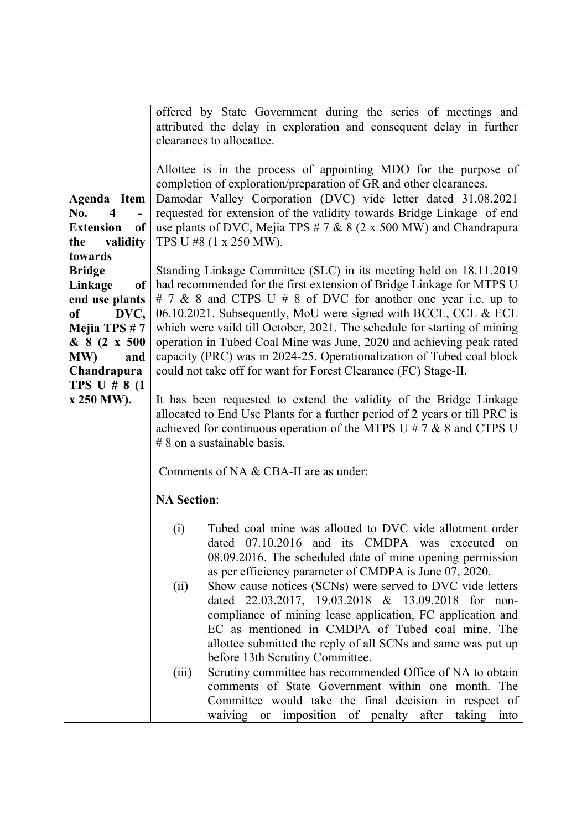|                                | offered by State Government during the series of meetings and                                               |  |  |
|--------------------------------|-------------------------------------------------------------------------------------------------------------|--|--|
|                                | attributed the delay in exploration and consequent delay in further                                         |  |  |
|                                | clearances to allocattee.                                                                                   |  |  |
|                                |                                                                                                             |  |  |
|                                | Allottee is in the process of appointing MDO for the purpose of                                             |  |  |
|                                | completion of exploration/preparation of GR and other clearances.                                           |  |  |
| Agenda Item                    | Damodar Valley Corporation (DVC) vide letter dated 31.08.2021                                               |  |  |
| No.<br>$\overline{\mathbf{4}}$ | requested for extension of the validity towards Bridge Linkage of end                                       |  |  |
| <b>Extension</b><br>of         |                                                                                                             |  |  |
| validity<br>the                | use plants of DVC, Mejia TPS $# 7 \& 8 (2 \times 500 \text{ MW})$ and Chandrapura<br>TPS U #8 (1 x 250 MW). |  |  |
| towards                        |                                                                                                             |  |  |
|                                |                                                                                                             |  |  |
| <b>Bridge</b>                  | Standing Linkage Committee (SLC) in its meeting held on 18.11.2019                                          |  |  |
| Linkage<br>of                  | had recommended for the first extension of Bridge Linkage for MTPS U                                        |  |  |
| end use plants                 | # 7 & 8 and CTPS U # 8 of DVC for another one year i.e. up to                                               |  |  |
| of<br>DVC,                     | 06.10.2021. Subsequently, MoU were signed with BCCL, CCL & ECL                                              |  |  |
| Mejia TPS #7                   | which were vaild till October, 2021. The schedule for starting of mining                                    |  |  |
| & 8 (2 x 500                   | operation in Tubed Coal Mine was June, 2020 and achieving peak rated                                        |  |  |
| MW)<br>and                     | capacity (PRC) was in 2024-25. Operationalization of Tubed coal block                                       |  |  |
| Chandrapura                    | could not take off for want for Forest Clearance (FC) Stage-II.                                             |  |  |
| TPS U $# 8$ (1)                |                                                                                                             |  |  |
| x 250 MW).                     | It has been requested to extend the validity of the Bridge Linkage                                          |  |  |
|                                | allocated to End Use Plants for a further period of 2 years or till PRC is                                  |  |  |
|                                | achieved for continuous operation of the MTPS U # 7 $\&$ 8 and CTPS U                                       |  |  |
|                                | $# 8$ on a sustainable basis.                                                                               |  |  |
|                                |                                                                                                             |  |  |
|                                | Comments of NA & CBA-II are as under:                                                                       |  |  |
|                                |                                                                                                             |  |  |
|                                | <b>NA Section:</b>                                                                                          |  |  |
|                                |                                                                                                             |  |  |
|                                | Tubed coal mine was allotted to DVC vide allotment order<br>(i)                                             |  |  |
|                                | dated 07.10.2016 and its CMDPA was executed on                                                              |  |  |
|                                | 08.09.2016. The scheduled date of mine opening permission                                                   |  |  |
|                                | as per efficiency parameter of CMDPA is June 07, 2020.                                                      |  |  |
|                                | Show cause notices (SCNs) were served to DVC vide letters<br>(ii)                                           |  |  |
|                                | dated 22.03.2017, 19.03.2018 & 13.09.2018 for non-                                                          |  |  |
|                                | compliance of mining lease application, FC application and                                                  |  |  |
|                                | EC as mentioned in CMDPA of Tubed coal mine. The                                                            |  |  |
|                                | allottee submitted the reply of all SCNs and same was put up                                                |  |  |
|                                | before 13th Scrutiny Committee.                                                                             |  |  |
|                                | Scrutiny committee has recommended Office of NA to obtain<br>(iii)                                          |  |  |
|                                | comments of State Government within one month. The                                                          |  |  |
|                                | Committee would take the final decision in respect of                                                       |  |  |
|                                | after<br>imposition of penalty<br>taking<br>waiving<br>into<br>or                                           |  |  |
|                                |                                                                                                             |  |  |